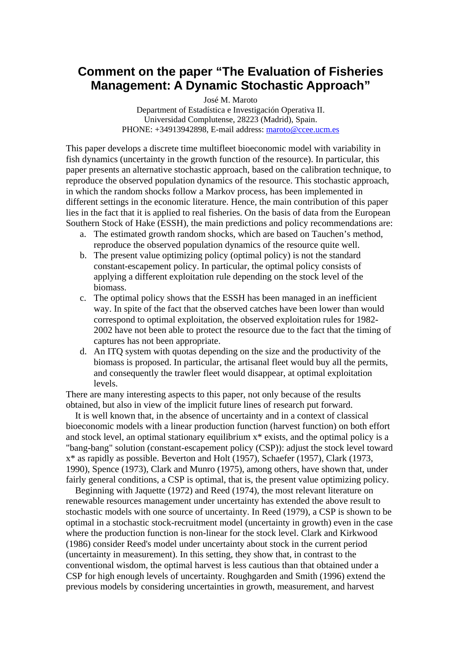## **Comment on the paper "The Evaluation of Fisheries Management: A Dynamic Stochastic Approach"**

José M. Maroto

Department of Estadística e Investigación Operativa II. Universidad Complutense, 28223 (Madrid), Spain. PHONE: +34913942898, E-mail address: [maroto@ccee.ucm.es](mailto:maroto@ccee.ucm.es)

This paper develops a discrete time multifleet bioeconomic model with variability in fish dynamics (uncertainty in the growth function of the resource). In particular, this paper presents an alternative stochastic approach, based on the calibration technique, to reproduce the observed population dynamics of the resource. This stochastic approach, in which the random shocks follow a Markov process, has been implemented in different settings in the economic literature. Hence, the main contribution of this paper lies in the fact that it is applied to real fisheries. On the basis of data from the European Southern Stock of Hake (ESSH), the main predictions and policy recommendations are:

- a. The estimated growth random shocks, which are based on Tauchen's method, reproduce the observed population dynamics of the resource quite well.
- b. The present value optimizing policy (optimal policy) is not the standard constant-escapement policy. In particular, the optimal policy consists of applying a different exploitation rule depending on the stock level of the biomass.
- c. The optimal policy shows that the ESSH has been managed in an inefficient way. In spite of the fact that the observed catches have been lower than would correspond to optimal exploitation, the observed exploitation rules for 1982- 2002 have not been able to protect the resource due to the fact that the timing of captures has not been appropriate.
- d. An ITQ system with quotas depending on the size and the productivity of the biomass is proposed. In particular, the artisanal fleet would buy all the permits, and consequently the trawler fleet would disappear, at optimal exploitation levels.

There are many interesting aspects to this paper, not only because of the results obtained, but also in view of the implicit future lines of research put forward.

 It is well known that, in the absence of uncertainty and in a context of classical bioeconomic models with a linear production function (harvest function) on both effort and stock level, an optimal stationary equilibrium x\* exists, and the optimal policy is a "bang-bang" solution (constant-escapement policy (CSP)): adjust the stock level toward x\* as rapidly as possible. Beverton and Holt (1957), Schaefer (1957), Clark (1973, 1990), Spence (1973), Clark and Munro (1975), among others, have shown that, under fairly general conditions, a CSP is optimal, that is, the present value optimizing policy.

 Beginning with Jaquette (1972) and Reed (1974), the most relevant literature on renewable resources management under uncertainty has extended the above result to stochastic models with one source of uncertainty. In Reed (1979), a CSP is shown to be optimal in a stochastic stock-recruitment model (uncertainty in growth) even in the case where the production function is non-linear for the stock level. Clark and Kirkwood (1986) consider Reed's model under uncertainty about stock in the current period (uncertainty in measurement). In this setting, they show that, in contrast to the conventional wisdom, the optimal harvest is less cautious than that obtained under a CSP for high enough levels of uncertainty. Roughgarden and Smith (1996) extend the previous models by considering uncertainties in growth, measurement, and harvest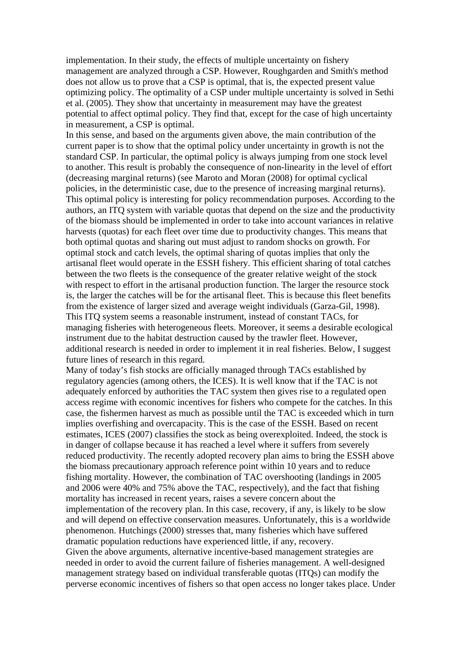implementation. In their study, the effects of multiple uncertainty on fishery management are analyzed through a CSP. However, Roughgarden and Smith's method does not allow us to prove that a CSP is optimal, that is, the expected present value optimizing policy. The optimality of a CSP under multiple uncertainty is solved in Sethi et al. (2005). They show that uncertainty in measurement may have the greatest potential to affect optimal policy. They find that, except for the case of high uncertainty in measurement, a CSP is optimal.

In this sense, and based on the arguments given above, the main contribution of the current paper is to show that the optimal policy under uncertainty in growth is not the standard CSP. In particular, the optimal policy is always jumping from one stock level to another. This result is probably the consequence of non-linearity in the level of effort (decreasing marginal returns) (see Maroto and Moran (2008) for optimal cyclical policies, in the deterministic case, due to the presence of increasing marginal returns). This optimal policy is interesting for policy recommendation purposes. According to the authors, an ITQ system with variable quotas that depend on the size and the productivity of the biomass should be implemented in order to take into account variances in relative harvests (quotas) for each fleet over time due to productivity changes. This means that both optimal quotas and sharing out must adjust to random shocks on growth. For optimal stock and catch levels, the optimal sharing of quotas implies that only the artisanal fleet would operate in the ESSH fishery. This efficient sharing of total catches between the two fleets is the consequence of the greater relative weight of the stock with respect to effort in the artisanal production function. The larger the resource stock is, the larger the catches will be for the artisanal fleet. This is because this fleet benefits from the existence of larger sized and average weight individuals (Garza-Gil, 1998). This ITQ system seems a reasonable instrument, instead of constant TACs, for managing fisheries with heterogeneous fleets. Moreover, it seems a desirable ecological instrument due to the habitat destruction caused by the trawler fleet. However, additional research is needed in order to implement it in real fisheries. Below, I suggest future lines of research in this regard.

Many of today's fish stocks are officially managed through TACs established by regulatory agencies (among others, the ICES). It is well know that if the TAC is not adequately enforced by authorities the TAC system then gives rise to a regulated open access regime with economic incentives for fishers who compete for the catches. In this case, the fishermen harvest as much as possible until the TAC is exceeded which in turn implies overfishing and overcapacity. This is the case of the ESSH. Based on recent estimates, ICES (2007) classifies the stock as being overexploited. Indeed, the stock is in danger of collapse because it has reached a level where it suffers from severely reduced productivity. The recently adopted recovery plan aims to bring the ESSH above the biomass precautionary approach reference point within 10 years and to reduce fishing mortality. However, the combination of TAC overshooting (landings in 2005 and 2006 were 40% and 75% above the TAC, respectively), and the fact that fishing mortality has increased in recent years, raises a severe concern about the implementation of the recovery plan. In this case, recovery, if any, is likely to be slow and will depend on effective conservation measures. Unfortunately, this is a worldwide phenomenon. Hutchings (2000) stresses that, many fisheries which have suffered dramatic population reductions have experienced little, if any, recovery. Given the above arguments, alternative incentive-based management strategies are needed in order to avoid the current failure of fisheries management. A well-designed management strategy based on individual transferable quotas (ITQs) can modify the perverse economic incentives of fishers so that open access no longer takes place. Under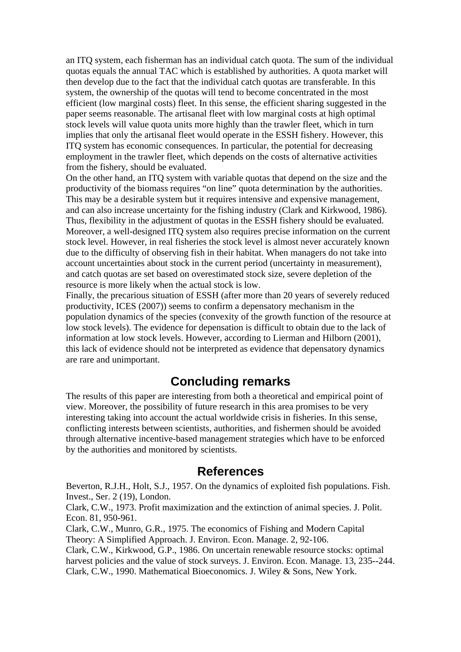an ITQ system, each fisherman has an individual catch quota. The sum of the individual quotas equals the annual TAC which is established by authorities. A quota market will then develop due to the fact that the individual catch quotas are transferable. In this system, the ownership of the quotas will tend to become concentrated in the most efficient (low marginal costs) fleet. In this sense, the efficient sharing suggested in the paper seems reasonable. The artisanal fleet with low marginal costs at high optimal stock levels will value quota units more highly than the trawler fleet, which in turn implies that only the artisanal fleet would operate in the ESSH fishery. However, this ITQ system has economic consequences. In particular, the potential for decreasing employment in the trawler fleet, which depends on the costs of alternative activities from the fishery, should be evaluated.

On the other hand, an ITQ system with variable quotas that depend on the size and the productivity of the biomass requires "on line" quota determination by the authorities. This may be a desirable system but it requires intensive and expensive management, and can also increase uncertainty for the fishing industry (Clark and Kirkwood, 1986). Thus, flexibility in the adjustment of quotas in the ESSH fishery should be evaluated. Moreover, a well-designed ITQ system also requires precise information on the current stock level. However, in real fisheries the stock level is almost never accurately known due to the difficulty of observing fish in their habitat. When managers do not take into account uncertainties about stock in the current period (uncertainty in measurement), and catch quotas are set based on overestimated stock size, severe depletion of the resource is more likely when the actual stock is low.

Finally, the precarious situation of ESSH (after more than 20 years of severely reduced productivity, ICES (2007)) seems to confirm a depensatory mechanism in the population dynamics of the species (convexity of the growth function of the resource at low stock levels). The evidence for depensation is difficult to obtain due to the lack of information at low stock levels. However, according to Lierman and Hilborn (2001), this lack of evidence should not be interpreted as evidence that depensatory dynamics are rare and unimportant.

## **Concluding remarks**

The results of this paper are interesting from both a theoretical and empirical point of view. Moreover, the possibility of future research in this area promises to be very interesting taking into account the actual worldwide crisis in fisheries. In this sense, conflicting interests between scientists, authorities, and fishermen should be avoided through alternative incentive-based management strategies which have to be enforced by the authorities and monitored by scientists.

## **References**

Beverton, R.J.H., Holt, S.J., 1957. On the dynamics of exploited fish populations. Fish. Invest., Ser. 2 (19), London.

Clark, C.W., 1973. Profit maximization and the extinction of animal species. J. Polit. Econ. 81, 950-961.

Clark, C.W., Munro, G.R., 1975. The economics of Fishing and Modern Capital Theory: A Simplified Approach. J. Environ. Econ. Manage. 2, 92-106.

Clark, C.W., Kirkwood, G.P., 1986. On uncertain renewable resource stocks: optimal harvest policies and the value of stock surveys. J. Environ. Econ. Manage. 13, 235--244. Clark, C.W., 1990. Mathematical Bioeconomics. J. Wiley & Sons, New York.